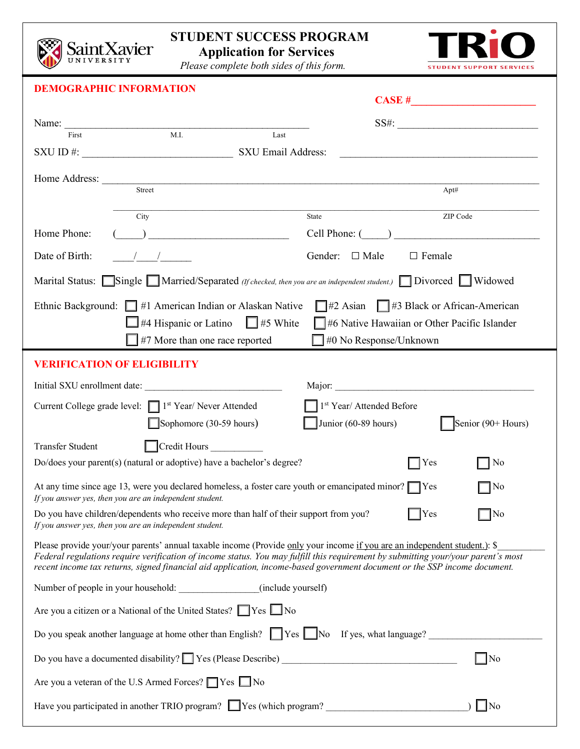

## **STUDENT SUCCESS PROGRAM**

 **Application for Services**



*Please complete both sides of this form.*

|                                                                                                                                                                                                                                                                                                                                                                                             | <b>DEMOGRAPHIC INFORMATION</b>                                                                                                                                                                                                                          |       |                                              | $\overline{\text{CASE H}}$ |  |  |  |
|---------------------------------------------------------------------------------------------------------------------------------------------------------------------------------------------------------------------------------------------------------------------------------------------------------------------------------------------------------------------------------------------|---------------------------------------------------------------------------------------------------------------------------------------------------------------------------------------------------------------------------------------------------------|-------|----------------------------------------------|----------------------------|--|--|--|
|                                                                                                                                                                                                                                                                                                                                                                                             |                                                                                                                                                                                                                                                         |       |                                              |                            |  |  |  |
|                                                                                                                                                                                                                                                                                                                                                                                             | Name: $\frac{1}{T_{\text{trot}}}$ M.I.                                                                                                                                                                                                                  | Last  |                                              | SS#:                       |  |  |  |
|                                                                                                                                                                                                                                                                                                                                                                                             |                                                                                                                                                                                                                                                         |       |                                              |                            |  |  |  |
|                                                                                                                                                                                                                                                                                                                                                                                             |                                                                                                                                                                                                                                                         |       |                                              |                            |  |  |  |
|                                                                                                                                                                                                                                                                                                                                                                                             | Street                                                                                                                                                                                                                                                  |       |                                              | Apt#                       |  |  |  |
|                                                                                                                                                                                                                                                                                                                                                                                             | City                                                                                                                                                                                                                                                    | State |                                              | ZIP Code                   |  |  |  |
| Home Phone:                                                                                                                                                                                                                                                                                                                                                                                 | $\overline{\phantom{a}}$ ) $\overline{\phantom{a}}$ , and the set of the set of the set of the set of the set of the set of the set of the set of the set of the set of the set of the set of the set of the set of the set of the set of the set of th |       | Cell Phone: ( )                              |                            |  |  |  |
| Date of Birth:                                                                                                                                                                                                                                                                                                                                                                              | $\frac{1}{2}$                                                                                                                                                                                                                                           |       | Gender: $\Box$ Male<br>$\Box$ Female         |                            |  |  |  |
| Marital Status: Single Married/Separated (If checked, then you are an independent student.) Divorced Widowed                                                                                                                                                                                                                                                                                |                                                                                                                                                                                                                                                         |       |                                              |                            |  |  |  |
| Ethnic Background: #1 American Indian or Alaskan Native #2 Asian #3 Black or African-American                                                                                                                                                                                                                                                                                               |                                                                                                                                                                                                                                                         |       |                                              |                            |  |  |  |
|                                                                                                                                                                                                                                                                                                                                                                                             | #4 Hispanic or Latino $\Box$ #5 White                                                                                                                                                                                                                   |       | #6 Native Hawaiian or Other Pacific Islander |                            |  |  |  |
|                                                                                                                                                                                                                                                                                                                                                                                             | #7 More than one race reported                                                                                                                                                                                                                          |       | $\Box$ #0 No Response/Unknown                |                            |  |  |  |
| <b>VERIFICATION OF ELIGIBILITY</b>                                                                                                                                                                                                                                                                                                                                                          |                                                                                                                                                                                                                                                         |       |                                              |                            |  |  |  |
| Initial SXU enrollment date:                                                                                                                                                                                                                                                                                                                                                                |                                                                                                                                                                                                                                                         |       |                                              |                            |  |  |  |
| Current College grade level:   1 <sup>st</sup> Year/ Never Attended<br>$\Box$ 1 <sup>st</sup> Year/ Attended Before                                                                                                                                                                                                                                                                         |                                                                                                                                                                                                                                                         |       |                                              |                            |  |  |  |
|                                                                                                                                                                                                                                                                                                                                                                                             | $\Box$ Sophomore (30-59 hours)                                                                                                                                                                                                                          |       | Junior (60-89 hours)                         | Senior (90+ Hours)         |  |  |  |
| Transfer Student                                                                                                                                                                                                                                                                                                                                                                            | Credit Hours                                                                                                                                                                                                                                            |       |                                              |                            |  |  |  |
| Do/does your parent(s) (natural or adoptive) have a bachelor's degree?<br>$\exists$ Yes<br>No                                                                                                                                                                                                                                                                                               |                                                                                                                                                                                                                                                         |       |                                              |                            |  |  |  |
| At any time since age 13, were you declared homeless, a foster care youth or emancipated minor? TYes<br>No<br>If you answer yes, then you are an independent student.                                                                                                                                                                                                                       |                                                                                                                                                                                                                                                         |       |                                              |                            |  |  |  |
| ]No<br>Do you have children/dependents who receive more than half of their support from you?<br>Yes<br>If you answer yes, then you are an independent student.                                                                                                                                                                                                                              |                                                                                                                                                                                                                                                         |       |                                              |                            |  |  |  |
| Please provide your/your parents' annual taxable income (Provide only your income if you are an independent student.): \$<br>Federal regulations require verification of income status. You may fulfill this requirement by submitting your/your parent's most<br>recent income tax returns, signed financial aid application, income-based government document or the SSP income document. |                                                                                                                                                                                                                                                         |       |                                              |                            |  |  |  |
| Number of people in your household: (include yourself)                                                                                                                                                                                                                                                                                                                                      |                                                                                                                                                                                                                                                         |       |                                              |                            |  |  |  |
| Are you a citizen or a National of the United States? TYes No                                                                                                                                                                                                                                                                                                                               |                                                                                                                                                                                                                                                         |       |                                              |                            |  |  |  |
| Do you speak another language at home other than English? $\Box$ Yes $\Box$ No If yes, what language?                                                                                                                                                                                                                                                                                       |                                                                                                                                                                                                                                                         |       |                                              |                            |  |  |  |
| $\exists$ No                                                                                                                                                                                                                                                                                                                                                                                |                                                                                                                                                                                                                                                         |       |                                              |                            |  |  |  |
| Are you a veteran of the U.S Armed Forces? Ves No                                                                                                                                                                                                                                                                                                                                           |                                                                                                                                                                                                                                                         |       |                                              |                            |  |  |  |
| $\Box$ No                                                                                                                                                                                                                                                                                                                                                                                   |                                                                                                                                                                                                                                                         |       |                                              |                            |  |  |  |